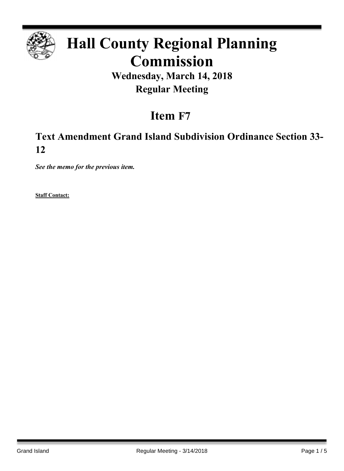

# **Hall County Regional Planning Commission**

### **Wednesday, March 14, 2018 Regular Meeting**

## **Item F7**

### **Text Amendment Grand Island Subdivision Ordinance Section 33- 12**

*See the memo for the previous item.*

**Staff Contact:**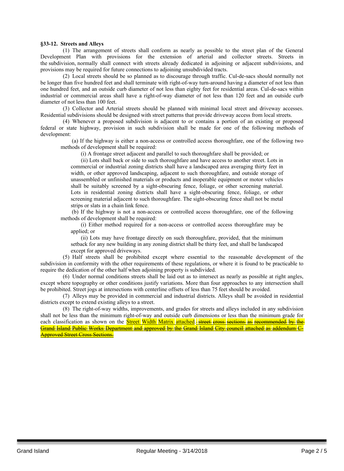#### **§33-12. Streets and Alleys**

(1) The arrangement of streets shall conform as nearly as possible to the street plan of the General Development Plan with provisions for the extension of arterial and collector streets. Streets in the subdivision, normally shall connect with streets already dedicated in adjoining or adjacent subdivisions, and provisions may be required for future connections to adjoining unsubdivided tracts.

(2) Local streets should be so planned as to discourage through traffic. Cul-de-sacs should normally not be longer than five hundred feet and shall terminate with right-of-way turn-around having a diameter of not less than one hundred feet, and an outside curb diameter of not less than eighty feet for residential areas. Cul-de-sacs within industrial or commercial areas shall have a right-of-way diameter of not less than 120 feet and an outside curb diameter of not less than 100 feet.

(3) Collector and Arterial streets should be planned with minimal local street and driveway accesses. Residential subdivisions should be designed with street patterns that provide driveway access from local streets.

(4) Whenever a proposed subdivision is adjacent to or contains a portion of an existing or proposed federal or state highway, provision in such subdivision shall be made for one of the following methods of development:

(a) If the highway is either a non-access or controlled access thoroughfare, one of the following two methods of development shall be required:

(i) A frontage street adjacent and parallel to such thoroughfare shall be provided; or

(ii) Lots shall back or side to such thoroughfare and have access to another street. Lots in commercial or industrial zoning districts shall have a landscaped area averaging thirty feet in width, or other approved landscaping, adjacent to such thoroughfare, and outside storage of unassembled or unfinished materials or products and inoperable equipment or motor vehicles shall be suitably screened by a sight-obscuring fence, foliage, or other screening material. Lots in residential zoning districts shall have a sight-obscuring fence, foliage, or other screening material adjacent to such thoroughfare. The sight-obscuring fence shall not be metal strips or slats in a chain link fence.

(b) If the highway is not a non-access or controlled access thoroughfare, one of the following methods of development shall be required:

(i) Either method required for a non-access or controlled access thoroughfare may be applied; or

(ii) Lots may have frontage directly on such thoroughfare, provided, that the minimum setback for any new building in any zoning district shall be thirty feet, and shall be landscaped except for approved driveways.

(5) Half streets shall be prohibited except where essential to the reasonable development of the subdivision in conformity with the other requirements of these regulations, or where it is found to be practicable to require the dedication of the other half when adjoining property is subdivided.

(6) Under normal conditions streets shall be laid out as to intersect as nearly as possible at right angles, except where topography or other conditions justify variations. More than four approaches to any intersection shall be prohibited. Street jogs at intersections with centerline offsets of less than 75 feet should be avoided.

(7) Alleys may be provided in commercial and industrial districts. Alleys shall be avoided in residential districts except to extend existing alleys to a street.

(8) The right-of-way widths, improvements, and grades for streets and alleys included in any subdivision shall not be less than the minimum right-of-way and outside curb dimensions or less than the minimum grade for each classification as shown on the **Street Width Matrix attached.** street cross sections as recommended by the Grand Island Public Works Department and approved by the Grand Island City council attached as addendum C-Approved Street Cross Sections.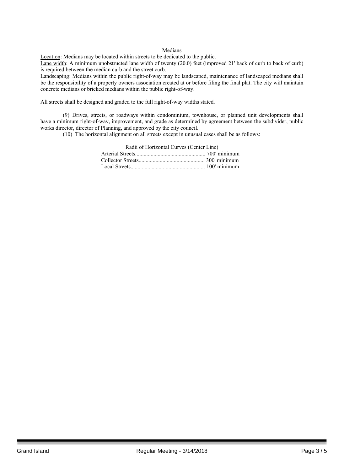#### Medians

Location: Medians may be located within streets to be dedicated to the public.

Lane width: A minimum unobstructed lane width of twenty (20.0) feet (improved 21' back of curb to back of curb) is required between the median curb and the street curb.

Landscaping: Medians within the public right-of-way may be landscaped, maintenance of landscaped medians shall be the responsibility of a property owners association created at or before filing the final plat. The city will maintain concrete medians or bricked medians within the public right-of-way.

All streets shall be designed and graded to the full right-of-way widths stated.

(9) Drives, streets, or roadways within condominium, townhouse, or planned unit developments shall have a minimum right-of-way, improvement, and grade as determined by agreement between the subdivider, public works director, director of Planning, and approved by the city council.

(10) The horizontal alignment on all streets except in unusual cases shall be as follows:

| Radii of Horizontal Curves (Center Line) |  |
|------------------------------------------|--|
|                                          |  |
|                                          |  |
|                                          |  |
|                                          |  |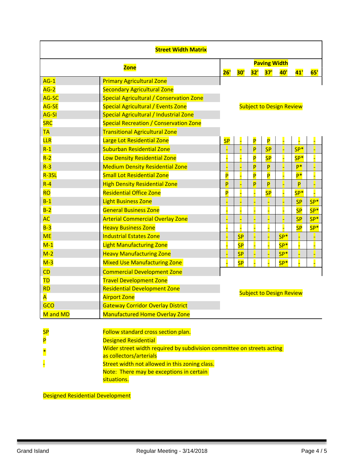| <b>Street Width Matrix</b> |                                                                        |                                 |           |     |                         |       |           |       |
|----------------------------|------------------------------------------------------------------------|---------------------------------|-----------|-----|-------------------------|-------|-----------|-------|
| <b>Zone</b>                |                                                                        | <b>Paving Width</b>             |           |     |                         |       |           |       |
|                            |                                                                        | 26'                             | 30'       | 32' | 37'                     | 40'   | 41'       | 65'   |
| $AG-1$                     | <b>Primary Agricultural Zone</b>                                       |                                 |           |     |                         |       |           |       |
| $AG-2$                     | <b>Secondary Agricultural Zone</b>                                     |                                 |           |     |                         |       |           |       |
| AG-SC                      | Special Agricultural / Conservation Zone                               |                                 |           |     |                         |       |           |       |
| AG-SE                      | Special Agricultural / Events Zone                                     | <b>Subject to Design Review</b> |           |     |                         |       |           |       |
| <b>AG-SI</b>               | Special Agricultural / Industrial Zone                                 |                                 |           |     |                         |       |           |       |
| <b>SRC</b>                 | Special Recreation / Conservation Zone                                 |                                 |           |     |                         |       |           |       |
| <b>TA</b>                  | <b>Transitional Agricultural Zone</b>                                  |                                 |           |     |                         |       |           |       |
| <b>LLR</b>                 | Large Lot Residential Zone                                             | <b>SP</b>                       |           | P   | P                       |       |           |       |
| $R-1$                      | <b>Suburban Residential Zone</b>                                       |                                 |           | P   | <b>SP</b>               |       | $SP*$     |       |
| $R-2$                      | Low Density Residential Zone                                           |                                 |           | P   | <b>SP</b>               |       | $SP*$     |       |
| $R-3$                      | <b>Medium Density Residential Zone</b>                                 |                                 |           | P   | P                       |       | p*        |       |
| $R-3SL$                    | <b>Small Lot Residential Zone</b>                                      | P                               |           | P   | $\overline{\mathsf{P}}$ |       | $P^*$     |       |
| $R - 4$                    | <b>High Density Residential Zone</b>                                   | P                               |           | P   | P                       |       | P         |       |
| <b>RO</b>                  | <b>Residential Office Zone</b>                                         | P                               |           |     | <b>SP</b>               |       | $SP*$     |       |
| $B-1$                      | <b>Light Business Zone</b>                                             |                                 |           |     |                         |       | <b>SP</b> | $SP*$ |
| $B-2$                      | <b>General Business Zone</b>                                           |                                 |           |     |                         |       | <b>SP</b> | $SP*$ |
| <b>AC</b>                  | <b>Arterial Commercial Overlay Zone</b>                                |                                 |           |     |                         |       | <b>SP</b> | $SP*$ |
| $B-3$                      | <b>Heavy Business Zone</b>                                             |                                 |           |     |                         |       | <b>SP</b> | $SP*$ |
| <b>ME</b>                  | <b>Industrial Estates Zone</b>                                         |                                 | <b>SP</b> |     |                         | $SP*$ |           |       |
| $M-1$                      | <b>Light Manufacturing Zone</b>                                        |                                 | <b>SP</b> |     |                         | $SP*$ |           |       |
| $M-2$                      | <b>Heavy Manufacturing Zone</b>                                        |                                 | <b>SP</b> |     |                         | $SP*$ |           |       |
| $M-3$                      | <b>Mixed Use Manufacturing Zone</b>                                    |                                 | <b>SP</b> |     |                         | $SP*$ |           |       |
| CD                         | <b>Commercial Development Zone</b>                                     |                                 |           |     |                         |       |           |       |
| TD                         | <b>Travel Development Zone</b>                                         |                                 |           |     |                         |       |           |       |
| <b>RD</b>                  | <b>Residential Development Zone</b><br><b>Subject to Design Review</b> |                                 |           |     |                         |       |           |       |
| A                          | <b>Airport Zone</b>                                                    |                                 |           |     |                         |       |           |       |
| GCO                        | <b>Gateway Corridor Overlay District</b>                               |                                 |           |     |                         |       |           |       |
| M and MD                   | <b>Manufactured Home Overlay Zone</b>                                  |                                 |           |     |                         |       |           |       |
| <mark>SP</mark><br>P       | Follow standard cross section plan.<br><b>Designed Residential</b>     |                                 |           |     |                         |       |           |       |
|                            | Wider street width required by subdivision committee on streets acting |                                 |           |     |                         |       |           |       |
|                            | as collectors/arterials                                                |                                 |           |     |                         |       |           |       |
|                            | Street width not allowed in this zoning class.                         |                                 |           |     |                         |       |           |       |
|                            | Note: There may be exceptions in certain<br>situations.                |                                 |           |     |                         |       |           |       |

Designed Residential Development